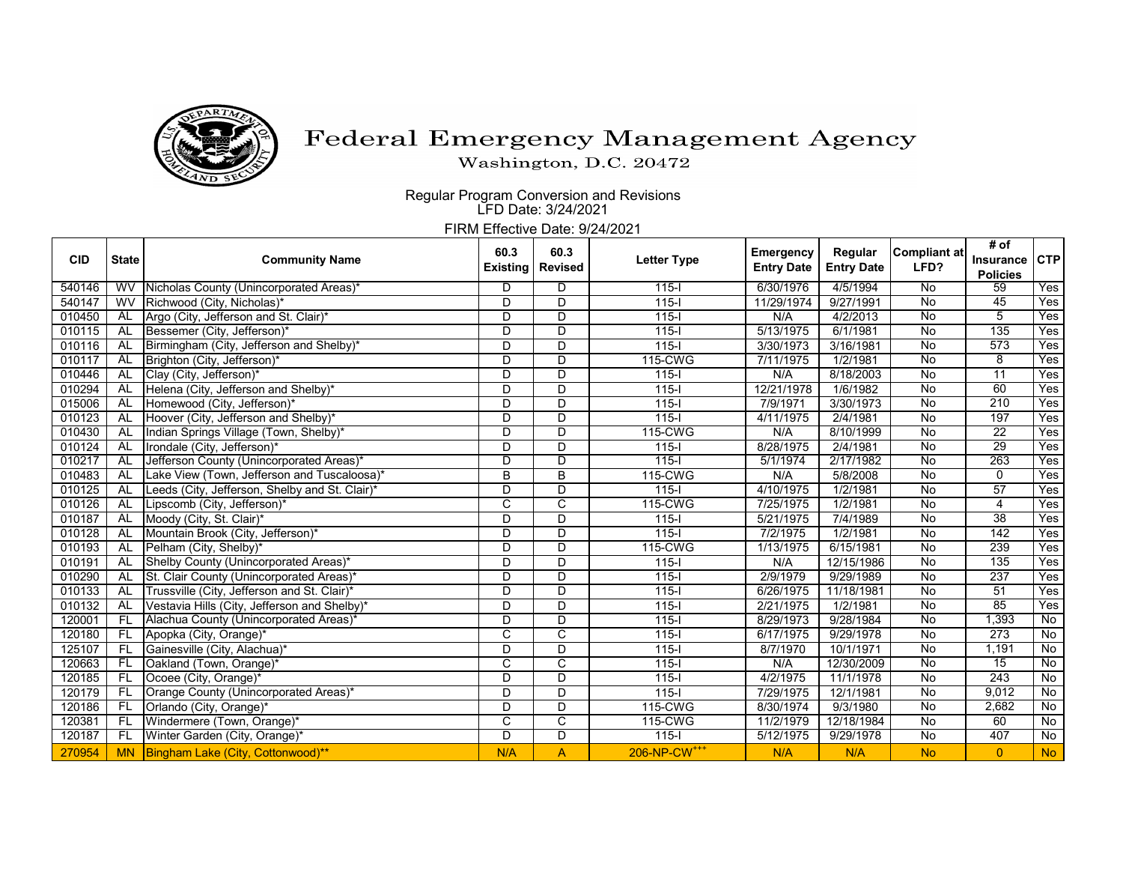

## Federal Emergency Management Agency

Washington, D.C. 20472

Regular Program Conversion and Revisions LFD Date: 3/24/2021

FIRM Effective Date: 9/24/2021

| <b>CID</b> | <b>State</b> | <b>Community Name</b>                          | 60.3<br><b>Existing</b> | 60.3<br><b>Revised</b> | <b>Letter Type</b>       | Emergency<br><b>Entry Date</b> | Regular<br><b>Entry Date</b> | Compliant at<br>LFD? | # of             |                |
|------------|--------------|------------------------------------------------|-------------------------|------------------------|--------------------------|--------------------------------|------------------------------|----------------------|------------------|----------------|
|            |              |                                                |                         |                        |                          |                                |                              |                      | <b>Insurance</b> | <b>CTP</b>     |
|            |              |                                                |                         |                        |                          |                                |                              |                      | <b>Policies</b>  |                |
| 540146     | WV           | Nicholas County (Unincorporated Areas)         | D                       | D                      | $115 -$                  | 6/30/1976                      | 4/5/1994                     | No                   | 59<br>45         | Yes            |
| 540147     | WV           | Richwood (City, Nicholas)*                     | D                       | D                      | $115 -$                  | 11/29/1974                     | 9/27/1991                    | $\overline{N}$       |                  | Yes            |
| 010450     | AL           | Argo (City, Jefferson and St. Clair)*          | D                       | D                      | $115 -$                  | N/A                            | 4/2/2013                     | No                   | 5                | Yes            |
| 010115     | AL           | Bessemer (City, Jefferson)*                    | D                       | D                      | $115 -$                  | 5/13/1975                      | 6/1/1981                     | No                   | 135              | Yes            |
| 010116     | AL           | Birmingham (City, Jefferson and Shelby)*       | D                       | D                      | $115 -$                  | 3/30/1973                      | 3/16/1981                    | No                   | 573              | Yes            |
| 010117     | AL           | Brighton (City, Jefferson)*                    | D                       | D                      | 115-CWG                  | 7/11/1975                      | 1/2/1981                     | No                   | 8                | Yes            |
| 010446     | AL           | Clay (City, Jefferson)*                        | D                       | D                      | $115 -$                  | N/A                            | 8/18/2003                    | $\overline{N}$       | $\overline{11}$  | Yes            |
| 010294     | <b>AL</b>    | Helena (City, Jefferson and Shelby)*           | D                       | D                      | $115 -$                  | 12/21/1978                     | 1/6/1982                     | No                   | 60               | Yes            |
| 015006     | AL           | Homewood (City, Jefferson)*                    | D                       | D                      | $115 -$                  | 7/9/1971                       | 3/30/1973                    | No                   | 210              | Yes            |
| 010123     | AL           | Hoover (City, Jefferson and Shelby)*           | D                       | D                      | $115 -$                  | 4/11/1975                      | 2/4/1981                     | No                   | 197              | Yes            |
| 010430     | <b>AL</b>    | Indian Springs Village (Town, Shelby)*         | D                       | $\overline{D}$         | 115-CWG                  | N/A                            | 8/10/1999                    | No                   | $\overline{22}$  | Yes            |
| 010124     | AL           | Irondale (City, Jefferson)*                    | D                       | D                      | $115 -$                  | 8/28/1975                      | 2/4/1981                     | No                   | 29               | Yes            |
| 010217     | AL           | Jefferson County (Unincorporated Areas)*       | D                       | D                      | $115 -$                  | 5/1/1974                       | 2/17/1982                    | No                   | 263              | Yes            |
| 010483     | AL           | Lake View (Town, Jefferson and Tuscaloosa)*    | B                       | B                      | 115-CWG                  | N/A                            | 5/8/2008                     | No                   | $\Omega$         | Yes            |
| 010125     | AL           | Leeds (City, Jefferson, Shelby and St. Clair)* | D                       | D                      | $115 -$                  | 4/10/1975                      | 1/2/1981                     | No                   | 57               | Yes            |
| 010126     | AL           | Lipscomb (City, Jefferson)*                    | C                       | $\overline{C}$         | 115-CWG                  | 7/25/1975                      | 1/2/1981                     | $\overline{N}$       | 4                | Yes            |
| 010187     | AL           | Moody (City, St. Clair)*                       | D                       | $\overline{D}$         | $115 -$                  | 5/21/1975                      | 7/4/1989                     | $\overline{N}$       | $\overline{38}$  | Yes            |
| 010128     | AL           | Mountain Brook (City, Jefferson)*              | $\overline{D}$          | $\overline{D}$         | $115 -$                  | 7/2/1975                       | 1/2/1981                     | $\overline{N}$       | $\overline{142}$ | Yes            |
| 010193     | AL           | Pelham (City, Shelby)*                         | D                       | D                      | 115-CWG                  | 1/13/1975                      | 6/15/1981                    | No                   | 239              | Yes            |
| 010191     | AL           | Shelby County (Unincorporated Areas)*          | D                       | D                      | $115 -$                  | N/A                            | 12/15/1986                   | $\overline{N}$       | 135              | Yes            |
| 010290     | <b>AL</b>    | St. Clair County (Unincorporated Areas)*       | D                       | $\overline{D}$         | $115 -$                  | 2/9/1979                       | 9/29/1989                    | No                   | 237              | Yes            |
| 010133     | AL           | Trussville (City, Jefferson and St. Clair)*    | D                       | D                      | $115 -$                  | 6/26/1975                      | 11/18/1981                   | $\overline{N}$       | 51               | Yes            |
| 010132     | AL           | Vestavia Hills (City, Jefferson and Shelby)*   | D                       | D                      | $115 -$                  | 2/21/1975                      | 1/2/1981                     | No                   | 85               | Yes            |
| 120001     | FL           | Alachua County (Unincorporated Areas)*         | D                       | D                      | $115 -$                  | 8/29/1973                      | 9/28/1984                    | No                   | 1,393            | No             |
| 120180     | FL           | Apopka (City, Orange)*                         | C                       | $\overline{\text{c}}$  | $115 -$                  | 6/17/1975                      | 9/29/1978                    | $\overline{N}$       | 273              | No             |
| 125107     | <b>FL</b>    | Gainesville (City, Alachua)*                   | D                       | D                      | $115 -$                  | 8/7/1970                       | 10/1/1971                    | No                   | 1,191            | $\overline{N}$ |
| 120663     | FL           | Oakland (Town, Orange)*                        | C                       | C                      | $115 -$                  | N/A                            | 12/30/2009                   | No                   | $\overline{15}$  | No             |
| 120185     | <b>FL</b>    | Ocoee (City, Orange)*                          | D                       | D                      | $115 -$                  | 4/2/1975                       | 11/1/1978                    | No                   | $\overline{243}$ | No             |
| 120179     | <b>FL</b>    | Orange County (Unincorporated Areas)*          | D                       | D                      | $115 -$                  | 7/29/1975                      | 12/1/1981                    | No                   | 9.012            | No             |
| 120186     | -FL          | Orlando (City, Orange)*                        | D                       | D                      | 115-CWG                  | 8/30/1974                      | 9/3/1980                     | No                   | 2,682            | No             |
| 120381     | -FL          | Windermere (Town, Orange)*                     | C                       | C                      | 115-CWG                  | 11/2/1979                      | 12/18/1984                   | No                   | 60               | $\overline{N}$ |
| 120187     | -FL          | Winter Garden (City, Orange)*                  | D                       | D                      | $115 -$                  | 5/12/1975                      | 9/29/1978                    | $\overline{N}$       | 407              | $\overline{N}$ |
| 270954     | <b>MN</b>    | Bingham Lake (City, Cottonwood)**              | N/A                     | $\overline{A}$         | 206-NP-CW <sup>+++</sup> | N/A                            | N/A                          | <b>No</b>            | $\overline{0}$   | <b>No</b>      |